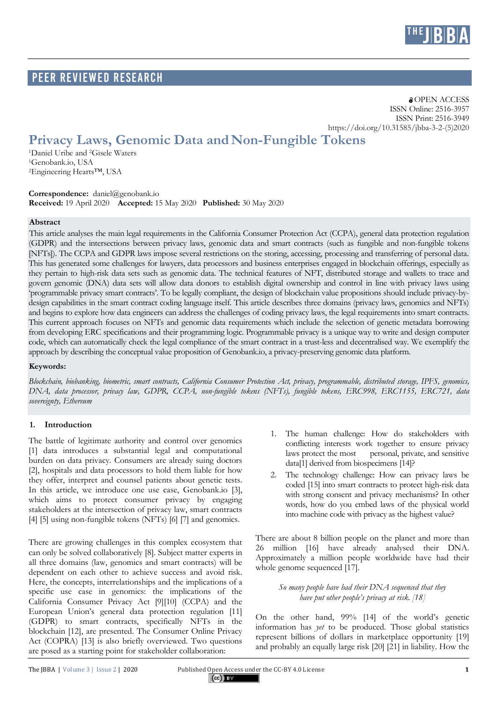

# PEER Reviewed RESEARCH

**a** OPEN ACCESS ISSN Online: 2516-3957 ISSN Print: 2516-3949 https://doi.org/10.31585/jbba-3-2-(5)2020

# **Privacy Laws, Genomic Data andNon-Fungible Tokens**

1Daniel Uribe and 2Gisele Waters 1Genobank.io, USA 2Engineering Hearts™, USA

**Correspondence:** daniel@genobank.io **Received:** 19 April 2020 **Accepted:** 15 May 2020 **Published:** 30 May 2020

#### **Abstract**

This article analyses the main legal requirements in the California Consumer Protection Act (CCPA), general data protection regulation (GDPR) and the intersections between privacy laws, genomic data and smart contracts (such as fungible and non-fungible tokens [NFTs]). The CCPA and GDPR laws impose several restrictions on the storing, accessing, processing and transferring of personal data. This has generated some challenges for lawyers, data processors and business enterprises engaged in blockchain offerings, especially as they pertain to high-risk data sets such as genomic data. The technical features of NFT, distributed storage and wallets to trace and govern genomic (DNA) data sets will allow data donors to establish digital ownership and control in line with privacy laws using 'programmable privacy smart contracts'. To be legally compliant, the design of blockchain value propositions should include privacy-bydesign capabilities in the smart contract coding language itself. This article describes three domains (privacy laws, genomics and NFTs) and begins to explore how data engineers can address the challenges of coding privacy laws, the legal requirements into smart contracts. This current approach focuses on NFTs and genomic data requirements which include the selection of genetic metadata borrowing from developing ERC specifications and their programming logic. Programmable privacy is a unique way to write and design computer code, which can automatically check the legal compliance of the smart contract in a trust-less and decentralised way. We exemplify the approach by describing the conceptual value proposition of Genobank.io, a privacy-preserving genomic data platform.

#### **Keywords:**

*Blockchain, biobanking, biometric, smart contracts, California Consumer Protection Act, privacy, programmable, distributed storage, IPFS, genomics, DNA, data processor, privacy law, GDPR, CCPA, non-fungible tokens (NFTs), fungible tokens, ERC998, ERC1155, ERC721, data sovereignty, Ethereum*

# **1. Introduction**

The battle of legitimate authority and control over genomics [1] data introduces a substantial legal and computational burden on data privacy. Consumers are already suing doctors [2], hospitals and data processors to hold them liable for how they offer, interpret and counsel patients about genetic tests. In this article, we introduce one use case, Genobank.io [3], which aims to protect consumer privacy by engaging stakeholders at the intersection of privacy law, smart contracts [4] [5] using non-fungible tokens (NFTs) [6] [7] and genomics.

There are growing challenges in this complex ecosystem that can only be solved collaboratively [8]. Subject matter experts in all three domains (law, genomics and smart contracts) will be dependent on each other to achieve success and avoid risk. Here, the concepts, interrelationships and the implications of a specific use case in genomics: the implications of the California Consumer Privacy Act [9][10] (CCPA) and the European Union's general data protection regulation [11] (GDPR) to smart contracts, specifically NFTs in the blockchain [12], are presented. The Consumer Online Privacy Act (COPRA) [13] is also briefly overviewed. Two questions are posed as a starting point for stakeholder collaboration:

- 1. The human challenge: How do stakeholders with conflicting interests work together to ensure privacy laws protect the most personal, private, and sensitive data[1] derived from biospecimens [14]?
- 2. The technology challenge: How can privacy laws be coded [15] into smart contracts to protect high-risk data with strong consent and privacy mechanisms? In other words, how do you embed laws of the physical world into machine code with privacy as the highest value?

There are about 8 billion people on the planet and more than 26 million [16] have already analysed their DNA. Approximately a million people worldwide have had their whole genome sequenced [17].

> *So many people have had their DNA sequenced that they have put other people's privacy at risk. [18]*

On the other hand, 99% [14] of the world's genetic information has *yet* to be produced. Those global statistics represent billions of dollars in marketplace opportunity [19] and probably an equally large risk [20] [21] in liability. How the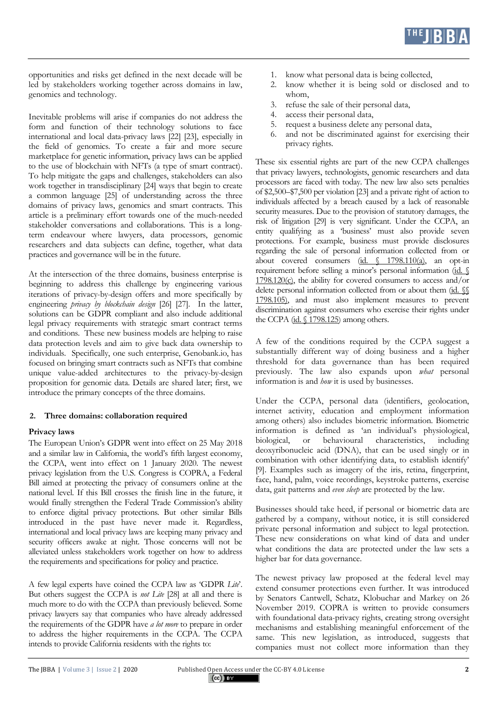

opportunities and risks get defined in the next decade will be led by stakeholders working together across domains in law, genomics and technology.

Inevitable problems will arise if companies do not address the form and function of their technology solutions to face international and local data-privacy laws [22] [23], especially in the field of genomics. To create a fair and more secure marketplace for genetic information, privacy laws can be applied to the use of blockchain with NFTs (a type of smart contract). To help mitigate the gaps and challenges, stakeholders can also work together in transdisciplinary [24] ways that begin to create a common language [25] of understanding across the three domains of privacy laws, genomics and smart contracts. This article is a preliminary effort towards one of the much-needed stakeholder conversations and collaborations. This is a longterm endeavour where lawyers, data processors, genomic researchers and data subjects can define, together, what data practices and governance will be in the future.

At the intersection of the three domains, business enterprise is beginning to address this challenge by engineering various iterations of privacy-by-design offers and more specifically by engineering *privacy by blockchain design* [26] [27]. In the latter, solutions can be GDPR compliant and also include additional legal privacy requirements with strategic smart contract terms and conditions. These new business models are helping to raise data protection levels and aim to give back data ownership to individuals. Specifically, one such enterprise, Genobank.io, has focused on bringing smart contracts such as NFTs that combine unique value-added architectures to the privacy-by-design proposition for genomic data. Details are shared later; first, we introduce the primary concepts of the three domains.

# **2. Three domains: collaboration required**

# **Privacy laws**

The European Union's GDPR went into effect on 25 May 2018 and a similar law in California, the world's fifth largest economy, the CCPA, went into effect on 1 January 2020. The newest privacy legislation from the U.S. Congress is COPRA, a Federal Bill aimed at protecting the privacy of consumers online at the national level. If this Bill crosses the finish line in the future, it would finally strengthen the Federal Trade Commission's ability to enforce digital privacy protections. But other similar Bills introduced in the past have never made it. Regardless, international and local privacy laws are keeping many privacy and security officers awake at night. Those concerns will not be alleviated unless stakeholders work together on how to address the requirements and specifications for policy and practice.

A few legal experts have coined the CCPA law as 'GDPR *Lite*'. But others suggest the CCPA is *not Lite* [28] at all and there is much more to do with the CCPA than previously believed. Some privacy lawyers say that companies who have already addressed the requirements of the GDPR have *a lot more* to prepare in order to address the higher requirements in the CCPA. The CCPA intends to provide California residents with the rights to:

- 1. know what personal data is being collected,
- 2. know whether it is being sold or disclosed and to whom,
- 3. refuse the sale of their personal data,
- 4. access their personal data,
- 5. request a business delete any personal data,
- 6. and not be discriminated against for exercising their privacy rights.

These six essential rights are part of the new CCPA challenges that privacy lawyers, technologists, genomic researchers and data processors are faced with today. The new law also sets penalties of \$2,500–\$7,500 per violation [23] and a private right of action to individuals affected by a breach caused by a lack of reasonable security measures. Due to the provision of statutory damages, the risk of litigation [29] is very significant. Under the CCPA, an entity qualifying as a 'business' must also provide seven protections. For example, business must provide disclosures regarding the sale of personal information collected from or about covered consumers (id.  $\frac{1798.110(a)}{a}$ , an opt-in requirement before selling a minor's personal information (id. § 1798.120(c), the ability for covered consumers to access and/or delete personal information collected from or about them (id.  $\mathcal{N}$ ) 1798.105), and must also implement measures to prevent discrimination against consumers who exercise their rights under the CCPA (id. § 1798.125) among others.

A few of the conditions required by the CCPA suggest a substantially different way of doing business and a higher threshold for data governance than has been required previously. The law also expands upon *what* personal information is and *how* it is used by businesses.

Under the CCPA, personal data (identifiers, geolocation, internet activity, education and employment information among others) also includes biometric information. Biometric information is defined as 'an individual's physiological, biological, or behavioural characteristics, including deoxyribonucleic acid (DNA), that can be used singly or in combination with other identifying data, to establish identify' [9]. Examples such as imagery of the iris, retina, fingerprint, face, hand, palm, voice recordings, keystroke patterns, exercise data, gait patterns and *even sleep* are protected by the law.

Businesses should take heed, if personal or biometric data are gathered by a company, without notice, it is still considered private personal information and subject to legal protection. These new considerations on what kind of data and under what conditions the data are protected under the law sets a higher bar for data governance.

The newest privacy law proposed at the federal level may extend consumer protections even further. It was introduced by Senators Cantwell, Schatz, Klobuchar and Markey on 26 November 2019. COPRA is written to provide consumers with foundational data-privacy rights, creating strong oversight mechanisms and establishing meaningful enforcement of the same. This new legislation, as introduced, suggests that companies must not collect more information than they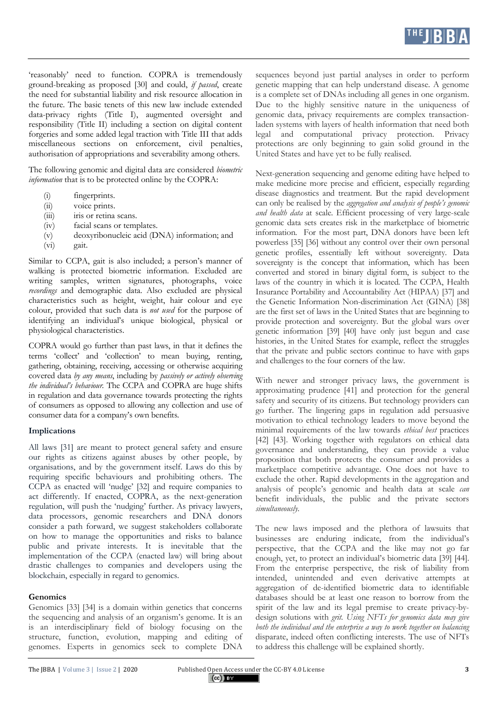'reasonably' need to function. COPRA is tremendously ground-breaking as proposed [30] and could, *if passed*, create the need for substantial liability and risk resource allocation in the future. The basic tenets of this new law include extended data-privacy rights (Title I), augmented oversight and responsibility (Title II) including a section on digital content forgeries and some added legal traction with Title III that adds miscellaneous sections on enforcement, civil penalties, authorisation of appropriations and severability among others.

The following genomic and digital data are considered *biometric information* that is to be protected online by the COPRA:

- (i) fingerprints.
- (ii) voice prints.
- (iii) iris or retina scans.
- (iv) facial scans or templates.
- (v) deoxyribonucleic acid (DNA) information; and
- (vi) gait.

Similar to CCPA, gait is also included; a person's manner of walking is protected biometric information. Excluded are writing samples, written signatures, photographs, voice *recordings* and demographic data. Also excluded are physical characteristics such as height, weight, hair colour and eye colour, provided that such data is *not used* for the purpose of identifying an individual's unique biological, physical or physiological characteristics.

COPRA would go further than past laws, in that it defines the terms 'collect' and 'collection' to mean buying, renting, gathering, obtaining, receiving, accessing or otherwise acquiring covered data *by any means*, including by *passively or actively observing the individual's behaviour*. The CCPA and COPRA are huge shifts in regulation and data governance towards protecting the rights of consumers as opposed to allowing any collection and use of consumer data for a company's own benefits.

# **Implications**

All laws [31] are meant to protect general safety and ensure our rights as citizens against abuses by other people, by organisations, and by the government itself. Laws do this by requiring specific behaviours and prohibiting others. The CCPA as enacted will 'nudge' [32] and require companies to act differently. If enacted, COPRA, as the next-generation regulation, will push the 'nudging' further. As privacy lawyers, data processors, genomic researchers and DNA donors consider a path forward, we suggest stakeholders collaborate on how to manage the opportunities and risks to balance public and private interests. It is inevitable that the implementation of the CCPA (enacted law) will bring about drastic challenges to companies and developers using the blockchain, especially in regard to genomics.

# **Genomics**

Genomics [33] [34] is a domain within genetics that concerns the sequencing and analysis of an organism's genome. It is an is an interdisciplinary field of biology focusing on the structure, function, evolution, mapping and editing of genomes. Experts in genomics seek to complete DNA

sequences beyond just partial analyses in order to perform genetic mapping that can help understand disease. A genome is a complete set of DNAs including all genes in one organism. Due to the highly sensitive nature in the uniqueness of genomic data, privacy requirements are complex transactionladen systems with layers of health information that need both legal and computational privacy protection. Privacy protections are only beginning to gain solid ground in the United States and have yet to be fully realised.

Next-generation sequencing and genome editing have helped to make medicine more precise and efficient, especially regarding disease diagnostics and treatment. But the rapid development can only be realised by the *aggregation and analysis of people's genomic and health data* at scale. Efficient processing of very large-scale genomic data sets creates risk in the marketplace of biometric information. For the most part, DNA donors have been left powerless [35] [36] without any control over their own personal genetic profiles, essentially left without sovereignty. Data sovereignty is the concept that information, which has been converted and stored in binary digital form, is subject to the laws of the country in which it is located. The CCPA, Health Insurance Portability and Accountability Act (HIPAA) [37] and the Genetic Information Non-discrimination Act (GINA) [38] are the first set of laws in the United States that are beginning to provide protection and sovereignty. But the global wars over genetic information [39] [40] have only just begun and case histories, in the United States for example, reflect the struggles that the private and public sectors continue to have with gaps and challenges to the four corners of the law.

With newer and stronger privacy laws, the government is approximating prudence [41] and protection for the general safety and security of its citizens. But technology providers can go further. The lingering gaps in regulation add persuasive motivation to ethical technology leaders to move beyond the minimal requirements of the law towards *ethical best* practices [42] [43]. Working together with regulators on ethical data governance and understanding, they can provide a value proposition that both protects the consumer and provides a marketplace competitive advantage. One does not have to exclude the other. Rapid developments in the aggregation and analysis of people's genomic and health data at scale *can* benefit individuals, the public and the private sectors *simultaneously*.

The new laws imposed and the plethora of lawsuits that businesses are enduring indicate, from the individual's perspective, that the CCPA and the like may not go far enough, yet, to protect an individual's biometric data [39] [44]. From the enterprise perspective, the risk of liability from intended, unintended and even derivative attempts at aggregation of de-identified biometric data to identifiable databases should be at least one reason to borrow from the spirit of the law and its legal premise to create privacy-bydesign solutions with *grit. Using NFTs for genomics data may give*  both the individual and the enterprise a way to work together on balancing disparate, indeed often conflicting interests. The use of NFTs to address this challenge will be explained shortly.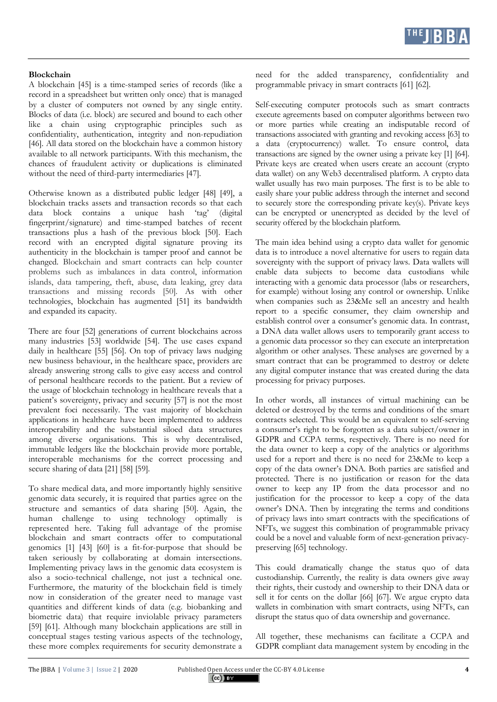# **Blockchain**

A blockchain [45] is a time-stamped series of records (like a record in a spreadsheet but written only once) that is managed by a cluster of computers not owned by any single entity. Blocks of data (i.e. block) are secured and bound to each other like a chain using cryptographic principles such as confidentiality, authentication, integrity and non-repudiation [46]. All data stored on the blockchain have a common history available to all network participants. With this mechanism, the chances of fraudulent activity or duplications is eliminated without the need of third-party intermediaries [47].

Otherwise known as a distributed public ledger [48] [49], a blockchain tracks assets and transaction records so that each data block contains a unique hash 'tag' (digital fingerprint/signature) and time-stamped batches of recent transactions plus a hash of the previous block [50]. Each record with an encrypted digital signature proving its authenticity in the blockchain is tamper proof and cannot be changed. Blockchain and smart contracts can help counter problems such as imbalances in data control, information islands, data tampering, theft, abuse, data leaking, grey data transactions and missing records [50]. As with other technologies, blockchain has augmented [51] its bandwidth and expanded its capacity.

There are four [52] generations of current blockchains across many industries [53] worldwide [54]. The use cases expand daily in healthcare [55] [56]. On top of privacy laws nudging new business behaviour, in the healthcare space, providers are already answering strong calls to give easy access and control of personal healthcare records to the patient. But a review of the usage of blockchain technology in healthcare reveals that a patient's sovereignty, privacy and security [57] is not the most prevalent foci necessarily. The vast majority of blockchain applications in healthcare have been implemented to address interoperability and the substantial siloed data structures among diverse organisations. This is why decentralised, immutable ledgers like the blockchain provide more portable, interoperable mechanisms for the correct processing and secure sharing of data [21] [58] [59].

To share medical data, and more importantly highly sensitive genomic data securely, it is required that parties agree on the structure and semantics of data sharing [50]. Again, the human challenge to using technology optimally is represented here. Taking full advantage of the promise blockchain and smart contracts offer to computational genomics [1] [43] [60] is a fit-for-purpose that should be taken seriously by collaborating at domain intersections. Implementing privacy laws in the genomic data ecosystem is also a socio-technical challenge, not just a technical one. Furthermore, the maturity of the blockchain field is timely now in consideration of the greater need to manage vast quantities and different kinds of data (e.g. biobanking and biometric data) that require inviolable privacy parameters [59] [61]. Although many blockchain applications are still in conceptual stages testing various aspects of the technology, these more complex requirements for security demonstrate a

need for the added transparency, confidentiality and programmable privacy in smart contracts [61] [62].

Self-executing computer protocols such as smart contracts execute agreements based on computer algorithms between two or more parties while creating an indisputable record of transactions associated with granting and revoking access [63] to a data (cryptocurrency) wallet. To ensure control, data transactions are signed by the owner using a private key [1] [64]. Private keys are created when users create an account (crypto data wallet) on any Web3 decentralised platform. A crypto data wallet usually has two main purposes. The first is to be able to easily share your public address through the internet and second to securely store the corresponding private key(s). Private keys can be encrypted or unencrypted as decided by the level of security offered by the blockchain platform.

The main idea behind using a crypto data wallet for genomic data is to introduce a novel alternative for users to regain data sovereignty with the support of privacy laws. Data wallets will enable data subjects to become data custodians while interacting with a genomic data processor (labs or researchers, for example) without losing any control or ownership. Unlike when companies such as 23&Me sell an ancestry and health report to a specific consumer, they claim ownership and establish control over a consumer's genomic data. In contrast, a DNA data wallet allows users to temporarily grant access to a genomic data processor so they can execute an interpretation algorithm or other analyses. These analyses are governed by a smart contract that can be programmed to destroy or delete any digital computer instance that was created during the data processing for privacy purposes.

In other words, all instances of virtual machining can be deleted or destroyed by the terms and conditions of the smart contracts selected. This would be an equivalent to self-serving a consumer's right to be forgotten as a data subject/owner in GDPR and CCPA terms, respectively. There is no need for the data owner to keep a copy of the analytics or algorithms used for a report and there is no need for 23&Me to keep a copy of the data owner's DNA. Both parties are satisfied and protected. There is no justification or reason for the data owner to keep any IP from the data processor and no justification for the processor to keep a copy of the data owner's DNA. Then by integrating the terms and conditions of privacy laws into smart contracts with the specifications of NFTs, we suggest this combination of programmable privacy could be a novel and valuable form of next-generation privacypreserving [65] technology.

This could dramatically change the status quo of data custodianship. Currently, the reality is data owners give away their rights, their custody and ownership to their DNA data or sell it for cents on the dollar [66] [67]. We argue crypto data wallets in combination with smart contracts, using NFTs, can disrupt the status quo of data ownership and governance.

All together, these mechanisms can facilitate a CCPA and GDPR compliant data management system by encoding in the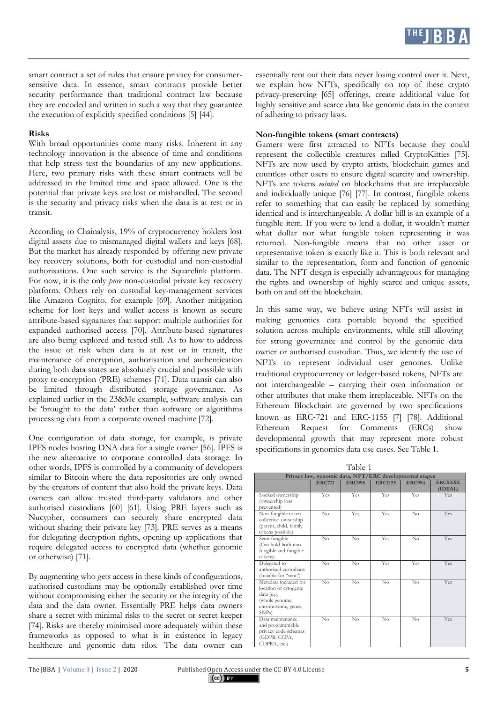smart contract a set of rules that ensure privacy for consumersensitive data. In essence, smart contracts provide better security performance than traditional contract law because they are encoded and written in such a way that they guarantee the execution of explicitly specified conditions [5] [44].

#### **Risks**

With broad opportunities come many risks. Inherent in any technology innovation is the absence of time and conditions that help stress test the boundaries of any new applications. Here, two primary risks with these smart contracts will be addressed in the limited time and space allowed. One is the potential that private keys are lost or mishandled. The second is the security and privacy risks when the data is at rest or in transit.

According to Chainalysis, 19% of cryptocurrency holders lost digital assets due to mismanaged digital wallets and keys [68]. But the market has already responded by offering new private key recovery solutions, both for custodial and non-custodial authorisations. One such service is the Squarelink platform. For now, it is the only *pure* non-custodial private key recovery platform. Others rely on custodial key-management services like Amazon Cognito, for example [69]. Another mitigation scheme for lost keys and wallet access is known as secure attribute-based signatures that support multiple authorities for expanded authorised access [70]. Attribute-based signatures are also being explored and tested still. As to how to address the issue of risk when data is at rest or in transit, the maintenance of encryption, authorisation and authentication during both data states are absolutely crucial and possible with proxy re-encryption (PRE) schemes [71]. Data transit can also be limited through distributed storage governance. As explained earlier in the 23&Me example, software analysis can be 'brought to the data' rather than software or algorithms processing data from a corporate owned machine [72].

One configuration of data storage, for example, is private IPFS nodes hosting DNA data for a single owner [56]. IPFS is the new alternative to corporate controlled data storage. In other words, IPFS is controlled by a community of developers similar to Bitcoin where the data repositories are only owned by the creators of content that also hold the private keys. Data owners can allow trusted third-party validators and other authorised custodians [60] [61]. Using PRE layers such as Nucypher, consumers can securely share encrypted data without sharing their private key [73]. PRE serves as a means for delegating decryption rights, opening up applications that require delegated access to encrypted data (whether genomic or otherwise) [71].

By augmenting who gets access in these kinds of configurations, authorised custodians may be optionally established over time without compromising either the security or the integrity of the data and the data owner. Essentially PRE helps data owners share a secret with minimal risks to the secret or secret keeper [74]. Risks are thereby minimised more adequately within these frameworks as opposed to what is in existence in legacy healthcare and genomic data silos. The data owner can

essentially rent out their data never losing control over it. Next, we explain how NFTs, specifically on top of these crypto privacy-preserving [65] offerings, create additional value for highly sensitive and scarce data like genomic data in the context of adhering to privacy laws.

#### **Non-fungible tokens (smart contracts)**

Gamers were first attracted to NFTs because they could represent the collectible creatures called CryptoKitties [75]. NFTs are now used by crypto artists, blockchain games and countless other users to ensure digital scarcity and ownership. NFTs are tokens *minted* on blockchains that are irreplaceable and individually unique [76] [77]. In contrast, fungible tokens refer to something that can easily be replaced by something identical and is interchangeable. A dollar bill is an example of a fungible item. If you were to lend a dollar, it wouldn't matter what dollar nor what fungible token representing it was returned. Non-fungible means that no other asset or representative token is exactly like it. This is both relevant and similar to the representation, form and function of genomic data. The NFT design is especially advantageous for managing the rights and ownership of highly scarce and unique assets, both on and off the blockchain.

In this same way, we believe using NFTs will assist in making genomics data portable beyond the specified solution across multiple environments, while still allowing for strong governance and control by the genomic data owner or authorised custodian. Thus, we identify the use of NFTs to represent individual user genomes. Unlike traditional cryptocurrency or ledger-based tokens, NFTs are not interchangeable – carrying their own information or other attributes that make them irreplaceable. NFTs on the Ethereum Blockchain are governed by two specifications known as ERC-721 and ERC-1155 [7] [78]. Additional Ethereum Request for Comments (ERCs) show developmental growth that may represent more robust specifications in genomics data use cases. See Table 1.

| Table 1                                                                                                          |                    |               |                |               |                           |
|------------------------------------------------------------------------------------------------------------------|--------------------|---------------|----------------|---------------|---------------------------|
| Privacy law, genomic data, NFT/ERC developmental stages                                                          |                    |               |                |               |                           |
|                                                                                                                  | <b>ERC721</b>      | <b>ERC998</b> | <b>ERC1155</b> | <b>ERC994</b> | <b>ERCXXXX</b><br>(IDEAL) |
| Locked ownership<br>(ownership loss<br>prevented)                                                                | Yes                | Yes           | Yes            | Yes           | Yes                       |
| Non-fungible token<br>collective ownership<br>(parent, child, family<br>tokens possible)                         | $\rm No$           | Yes           | Yes            | $\rm No$      | Yes                       |
| Semi-fungible<br>(Can hold both non-<br>fungible and fungible<br>tokens)                                         | No                 | No            | Yes            | No            | Yes                       |
| Delegated to<br>authorised custodians<br>(suitable for "rent")                                                   | No                 | No            | Yes            | Yes           | Yes                       |
| Metadata included for<br>location of cytogenic<br>data (e.g.<br>(whole genome,<br>chromosome, genes,<br>$SNPs$ ) | $\overline{N_{0}}$ | No            | $\overline{N}$ | No            | Yes                       |
| Data maintenance<br>and programmable<br>privacy code schemas<br>(GDPR, CCPA,<br>COPRA, etc.)                     | $\rm No$           | No            | No             | $\rm No$      | Yes                       |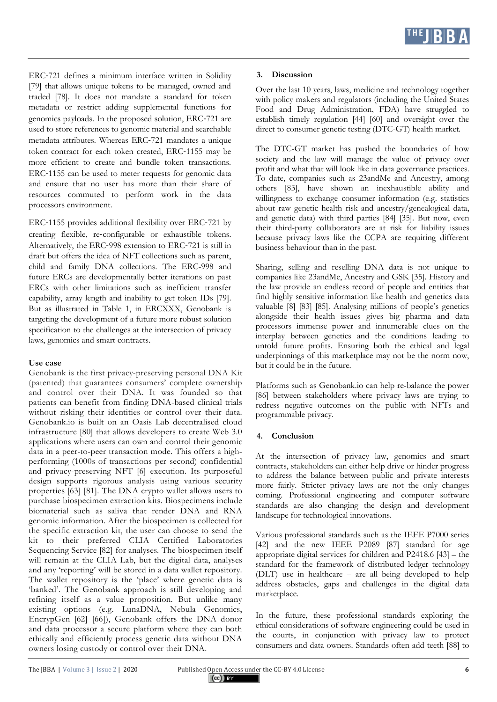ERC-721 defines a minimum interface written in Solidity [79] that allows unique tokens to be managed, owned and traded [78]. It does not mandate a standard for token metadata or restrict adding supplemental functions for genomics payloads. In the proposed solution, ERC-721 are used to store references to genomic material and searchable metadata attributes. Whereas ERC-721 mandates a unique token contract for each token created, ERC-1155 may be more efficient to create and bundle token transactions. ERC-1155 can be used to meter requests for genomic data and ensure that no user has more than their share of resources commuted to perform work in the data processors environment.

ERC-1155 provides additional flexibility over ERC-721 by creating flexible, re-configurable or exhaustible tokens. Alternatively, the ERC-998 extension to ERC-721 is still in draft but offers the idea of NFT collections such as parent, child and family DNA collections. The ERC-998 and future ERCs are developmentally better iterations on past ERCs with other limitations such as inefficient transfer capability, array length and inability to get token IDs [79]. But as illustrated in Table 1, in ERCXXX, Genobank is targeting the development of a future more robust solution specification to the challenges at the intersection of privacy laws, genomics and smart contracts.

# **Use case**

Genobank is the first privacy-preserving personal DNA Kit (patented) that guarantees consumers' complete ownership and control over their DNA. It was founded so that patients can benefit from finding DNA-based clinical trials without risking their identities or control over their data. Genobank.io is built on an Oasis Lab decentralised cloud infrastructure [80] that allows developers to create Web 3.0 applications where users can own and control their genomic data in a peer-to-peer transaction mode. This offers a highperforming (1000s of transactions per second) confidential and privacy-preserving NFT [6] execution. Its purposeful design supports rigorous analysis using various security properties [63] [81]. The DNA crypto wallet allows users to purchase biospecimen extraction kits. Biospecimens include biomaterial such as saliva that render DNA and RNA genomic information. After the biospecimen is collected for the specific extraction kit, the user can choose to send the kit to their preferred CLIA Certified Laboratories Sequencing Service [82] for analyses. The biospecimen itself will remain at the CLIA Lab, but the digital data, analyses and any 'reporting' will be stored in a data wallet repository. The wallet repository is the 'place' where genetic data is 'banked'. The Genobank approach is still developing and refining itself as a value proposition. But unlike many existing options (e.g. LunaDNA, Nebula Genomics, EncrypGen [62] [66]), Genobank offers the DNA donor and data processor a secure platform where they can both ethically and efficiently process genetic data without DNA owners losing custody or control over their DNA.

# **3. Discussion**

Over the last 10 years, laws, medicine and technology together with policy makers and regulators (including the United States Food and Drug Administration, FDA) have struggled to establish timely regulation [44] [60] and oversight over the direct to consumer genetic testing (DTC-GT) health market.

The DTC-GT market has pushed the boundaries of how society and the law will manage the value of privacy over profit and what that will look like in data governance practices. To date, companies such as 23andMe and Ancestry, among others [83], have shown an inexhaustible ability and willingness to exchange consumer information (e.g. statistics about raw genetic health risk and ancestry/genealogical data, and genetic data) with third parties [84] [35]. But now, even their third-party collaborators are at risk for liability issues because privacy laws like the CCPA are requiring different business behaviour than in the past.

Sharing, selling and reselling DNA data is not unique to companies like 23andMe, Ancestry and GSK [35]. History and the law provide an endless record of people and entities that find highly sensitive information like health and genetics data valuable [8] [83] [85]. Analysing millions of people's genetics alongside their health issues gives big pharma and data processors immense power and innumerable clues on the interplay between genetics and the conditions leading to untold future profits. Ensuring both the ethical and legal underpinnings of this marketplace may not be the norm now, but it could be in the future.

Platforms such as Genobank.io can help re-balance the power [86] between stakeholders where privacy laws are trying to redress negative outcomes on the public with NFTs and programmable privacy.

# **4. Conclusion**

At the intersection of privacy law, genomics and smart contracts, stakeholders can either help drive or hinder progress to address the balance between public and private interests more fairly. Stricter privacy laws are not the only changes coming. Professional engineering and computer software standards are also changing the design and development landscape for technological innovations.

Various professional standards such as the IEEE P7000 series [42] and the new IEEE P2089 [87] standard for age appropriate digital services for children and P2418.6 [43] – the standard for the framework of distributed ledger technology (DLT) use in healthcare – are all being developed to help address obstacles, gaps and challenges in the digital data marketplace.

In the future, these professional standards exploring the ethical considerations of software engineering could be used in the courts, in conjunction with privacy law to protect consumers and data owners. Standards often add teeth [88] to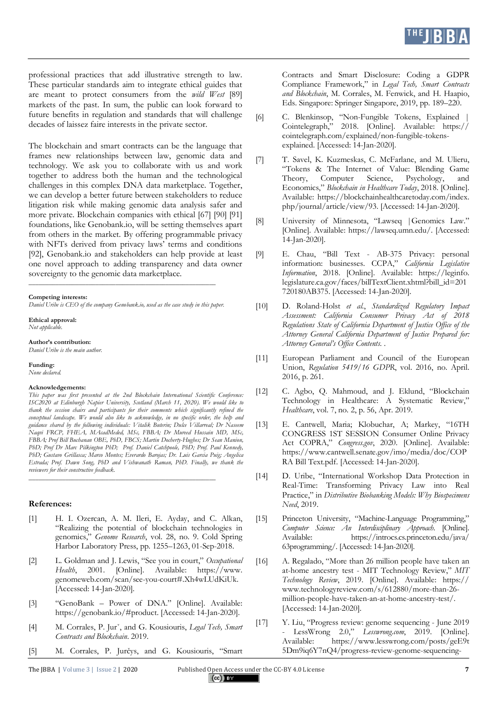professional practices that add illustrative strength to law. These particular standards aim to integrate ethical guides that are meant to protect consumers from the *wild West* [89] markets of the past. In sum, the public can look forward to future benefits in regulation and standards that will challenge decades of laissez faire interests in the private sector.

The blockchain and smart contracts can be the language that frames new relationships between law, genomic data and technology. We ask you to collaborate with us and work together to address both the human and the technological challenges in this complex DNA data marketplace. Together, we can develop a better future between stakeholders to reduce litigation risk while making genomic data analysis safer and more private. Blockchain companies with ethical [67] [90] [91] foundations, like Genobank.io, will be setting themselves apart from others in the market. By offering programmable privacy with NFTs derived from privacy laws' terms and conditions [92], Genobank.io and stakeholders can help provide at least one novel approach to adding transparency and data owner sovereignty to the genomic data marketplace.

**Competing interests:**

*Daniel Uribe is CEO of the company Genobank.io, used as the case study in this paper.* 

**\_\_\_\_\_\_\_\_\_\_\_\_\_\_\_\_\_\_\_\_\_\_\_\_\_\_\_\_\_\_\_\_\_\_\_\_\_\_\_\_\_\_\_\_\_\_\_\_\_\_\_\_\_\_\_\_**

**Ethical approval:** *Not applicable.*

**Author's contribution:** *Daniel Uribe is the main author.*

**Funding:** *None declared.*

#### **Acknowledgements:**

*This paper was first presented at the 2nd Blockchain International Scientific Conference: ISC2020 at Edinburgh Napier University, Scotland (March 11, 2020). We would like to thank the session chairs and participants for their comments which significantly refined the conceptual landscape. We would also like to acknowledge, in no specific order, the help and guidance shared by the following individuals: Vitalik Buterin; Dulce Villarreal; Dr Naseem Naqvi FRCP, FHEA, MAcadMeded, MSc, FBBA; Dr Mureed Hussain MD, MSc, FBBA; Prof Bill Buchanan OBE, PhD, FBCS; Martin Docherty-Hughes; Dr Sean Manion, PhD; Prof Dr Marc Pilkington PhD; Prof. Daniel Catchpoole, PhD; Prof. Paul Kennedy, PhD; Gustavo Grillasca; Marco Montes; Everardo Barojas; Dr. Luis Garcia Puig; Angelica Estrada; Prof. Dawn Song, PhD and Vishwanath Raman, PhD. Finally, we thank the reviewers for their constructive feedback.*

**\_\_\_\_\_\_\_\_\_\_\_\_\_\_\_\_\_\_\_\_\_\_\_\_\_\_\_\_\_\_\_\_\_\_\_\_\_\_\_\_\_\_\_\_\_\_\_\_\_\_\_\_\_\_\_\_**

#### **References:**

- [1] H. I. Ozercan, A. M. Ileri, E. Ayday, and C. Alkan, "Realizing the potential of blockchain technologies in genomics," *Genome Research*, vol. 28, no. 9. Cold Spring Harbor Laboratory Press, pp. 1255–1263, 01-Sep-2018.
- [2] L. Goldman and J. Lewis, "See you in court," *Occupational Health*, 2001. [Online]. Available: https://www. genomeweb.com/scan/see-you-court#.Xh4wLUdKiUk. [Accessed: 14-Jan-2020].
- [3] "GenoBank Power of DNA." [Online]. Available: https://genobank.io/#product. [Accessed: 14-Jan-2020].
- [4] M. Corrales, P. Jurˇ, and G. Kousiouris, *Legal Tech, Smart Contracts and Blockchain*. 2019.
- [5] M. Corrales, P. Jurčys, and G. Kousiouris, "Smart
- [6] C. Blenkinsop, "Non-Fungible Tokens, Explained | Cointelegraph," 2018. [Online]. Available: https:// cointelegraph.com/explained/non-fungible-tokensexplained. [Accessed: 14-Jan-2020].
- [7] T. Savel, K. Kuzmeskas, C. McFarlane, and M. Ulieru, "Tokens & The Internet of Value: Blending Game Theory, Computer Science, Psychology, and Economics," *Blockchain in Healthcare Today*, 2018. [Online]. Available: https://blockchainhealthcaretoday.com/index. php/journal/article/view/93. [Accessed: 14-Jan-2020].
- [8] University of Minnesota, "Lawseq |Genomics Law." [Online]. Available: https://lawseq.umn.edu/. [Accessed: 14-Jan-2020].
- [9] E. Chau, "Bill Text AB-375 Privacy: personal information: businesses. CCPA," *California Legislative Information*, 2018. [Online]. Available: https://leginfo. legislature.ca.gov/faces/billTextClient.xhtml?bill\_id=201 720180AB375. [Accessed: 14-Jan-2020].
- [10] D. Roland-Holst *et al.*, *Standardized Regulatory Impact Assessment: California Consumer Privacy Act of 2018 Regulations State of California Department of Justice Office of the Attorney General California Department of Justice Prepared for: Attorney General's Office Contents*. .
- [11] European Parliament and Council of the European Union, *Regulation 5419/16 GDPR*, vol. 2016, no. April. 2016, p. 261.
- [12] C. Agbo, Q. Mahmoud, and J. Eklund, "Blockchain Technology in Healthcare: A Systematic Review," *Healthcare*, vol. 7, no. 2, p. 56, Apr. 2019.
- [13] E. Cantwell, Maria; Klobuchar, A; Markey, "16TH CONGRESS 1ST SESSION Consumer Online Privacy Act COPRA," *Congress.gov*, 2020. [Online]. Available: https://www.cantwell.senate.gov/imo/media/doc/COP RA Bill Text.pdf. [Accessed: 14-Jan-2020].
- [14] D. Uribe, "International Workshop Data Protection in Real-Time: Transforming Privacy Law into Real Practice," in *Distributive Biobanking Models: Why Biospecimens Need*, 2019.
- [15] Princeton University, "Machine-Language Programming," *Computer Science: An Interdisciplinary Approach*. [Online]. Available: https://introcs.cs.princeton.edu/java/ 63programming/. [Accessed: 14-Jan-2020].
- [16] A. Regalado, "More than 26 million people have taken an at-home ancestry test - MIT Technology Review," *MIT Technology Review*, 2019. [Online]. Available: https:// www.technologyreview.com/s/612880/more-than-26 million-people-have-taken-an-at-home-ancestry-test/. [Accessed: 14-Jan-2020].
- [17] Y. Liu, "Progress review: genome sequencing June 2019 - LessWrong 2.0," *Lesswrong.com*, 2019. [Online]. Available: https://www.lesswrong.com/posts/geE9t 5Dm9iq6Y7nQ4/progress-review-genome-sequencing-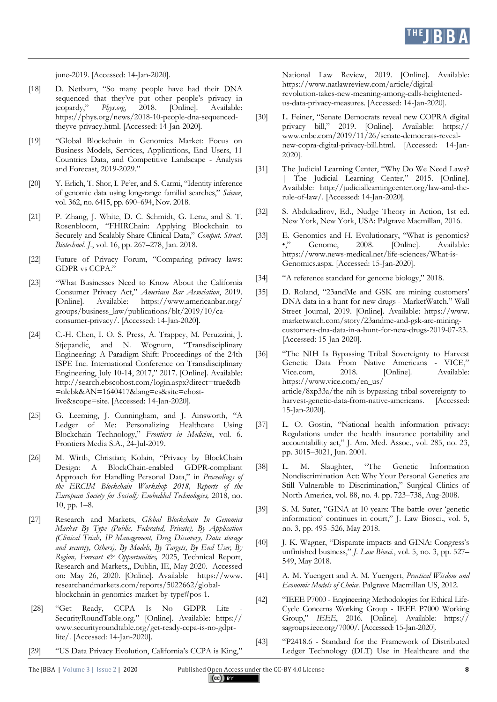june-2019. [Accessed: 14-Jan-2020].

- [18] D. Netburn, "So many people have had their DNA sequenced that they've put other people's privacy in ieopardy," Phys.org, 2018. [Online]. Available: jeopardy," *Phys.org*, 2018. [Online]. Available: https://phys.org/news/2018-10-people-dna-sequencedtheyve-privacy.html. [Accessed: 14-Jan-2020].
- [19] "Global Blockchain in Genomics Market: Focus on Business Models, Services, Applications, End Users, 11 Countries Data, and Competitive Landscape - Analysis and Forecast, 2019-2029."
- [20] Y. Erlich, T. Shor, I. Pe'er, and S. Carmi, "Identity inference of genomic data using long-range familial searches," *Science*, vol. 362, no. 6415, pp. 690–694, Nov. 2018.
- [21] P. Zhang, J. White, D. C. Schmidt, G. Lenz, and S. T. Rosenbloom, "FHIRChain: Applying Blockchain to Securely and Scalably Share Clinical Data," *Comput. Struct. Biotechnol. J.*, vol. 16, pp. 267–278, Jan. 2018.
- [22] Future of Privacy Forum, "Comparing privacy laws: GDPR vs CCPA."
- [23] "What Businesses Need to Know About the California Consumer Privacy Act," *American Bar Association*, 2019. [Online]. Available: https://www.americanbar.org/ groups/business\_law/publications/blt/2019/10/caconsumer-privacy/. [Accessed: 14-Jan-2020].
- [24] C.-H. Chen, I. O. S. Press, A. Trappey, M. Peruzzini, J. Stjepandić, and N. Wognum, "Transdisciplinary Engineering: A Paradigm Shift: Proceedings of the 24th ISPE Inc. International Conference on Transdisciplinary Engineering, July 10-14, 2017," 2017. [Online]. Available: http://search.ebscohost.com/login.aspx?direct=true&db =nlebk&AN=1640417&lang=es&site=ehostlive&scope=site. [Accessed: 14-Jan-2020].
- [25] G. Leeming, J. Cunningham, and J. Ainsworth, "A Ledger of Me: Personalizing Healthcare Using Blockchain Technology," *Frontiers in Medicine*, vol. 6. Frontiers Media S.A., 24-Jul-2019.
- [26] M. Wirth, Christian; Kolain, "Privacy by BlockChain Design: A BlockChain-enabled GDPR-compliant Approach for Handling Personal Data," in *Proceedings of the ERCIM Blockchain Workshop 2018, Reports of the European Society for Socially Embedded Technologies,* 2018, no. 10, pp. 1–8.
- [27] Research and Markets, *Global Blockchain In Genomics Market By Type (Public, Federated, Private), By Application (Clinical Trials, IP Management, Drug Discovery, Data storage and security, Others), By Models, By Targets, By End User, By Region, Forecast & Opportunities,* 2025, Technical Report, Research and Markets,, Dublin, IE, May 2020. Accessed on: May 26, 2020. [Online]. Available https://www. researchandmarkets.com/reports/5022662/globalblockchain-in-genomics-market-by-type#pos-1.
- [28] "Get Ready, CCPA Is No GDPR Lite SecurityRoundTable.org." [Online]. Available: https:// www.securityroundtable.org/get-ready-ccpa-is-no-gdprlite/. [Accessed: 14-Jan-2020].
- [29] "US Data Privacy Evolution, California's CCPA is King,"

National Law Review, 2019. [Online]. Available: https://www.natlawreview.com/article/digitalrevolution-takes-new-meaning-among-calls-heightenedus-data-privacy-measures. [Accessed: 14-Jan-2020].

- [30] L. Feiner, "Senate Democrats reveal new COPRA digital privacy bill," 2019. [Online]. Available: https:// www.cnbc.com/2019/11/26/senate-democrats-revealnew-copra-digital-privacy-bill.html. [Accessed: 14-Jan-2020].
- [31] The Judicial Learning Center, "Why Do We Need Laws? The Judicial Learning Center," 2015. [Online]. Available: http://judiciallearningcenter.org/law-and-therule-of-law/. [Accessed: 14-Jan-2020].
- [32] S. Abdukadirov, Ed., Nudge Theory in Action, 1st ed. New York, New York, USA: Palgrave Macmillan, 2016.
- [33] E. Genomics and H. Evolutionary, "What is genomics? •," Genome, 2008. [Online]. Available: https://www.news-medical.net/life-sciences/What-is-Genomics.aspx. [Accessed: 15-Jan-2020].
- [34] "A reference standard for genome biology," 2018.
- [35] D. Roland, "23andMe and GSK are mining customers' DNA data in a hunt for new drugs - MarketWatch," Wall Street Journal, 2019. [Online]. Available: https://www. marketwatch.com/story/23andme-and-gsk-are-miningcustomers-dna-data-in-a-hunt-for-new-drugs-2019-07-23. [Accessed: 15-Jan-2020].
- [36] "The NIH Is Bypassing Tribal Sovereignty to Harvest Genetic Data From Native Americans - VICE," Vice.com, 2018. [Online]. Available: https://www.vice.com/en\_us/ article/8xp33a/the-nih-is-bypassing-tribal-sovereignty-toharvest-genetic-data-from-native-americans. [Accessed: 15-Jan-2020].
- [37] L. O. Gostin, "National health information privacy: Regulations under the health insurance portability and accountability act," J. Am. Med. Assoc., vol. 285, no. 23, pp. 3015–3021, Jun. 2001.
- [38] L. M. Slaughter, "The Genetic Information Nondiscrimination Act: Why Your Personal Genetics are Still Vulnerable to Discrimination," Surgical Clinics of North America, vol. 88, no. 4. pp. 723–738, Aug-2008.
- [39] S. M. Suter, "GINA at 10 years: The battle over 'genetic information' continues in court," J. Law Biosci., vol. 5, no. 3, pp. 495–526, May 2018.
- [40] J. K. Wagner, "Disparate impacts and GINA: Congress's unfinished business," *J. Law Biosci.*, vol. 5, no. 3, pp. 527– 549, May 2018.
- [41] A. M. Yuengert and A. M. Yuengert, *Practical Wisdom and Economic Models of Choice*. Palgrave Macmillan US, 2012.
- [42] "IEEE P7000 Engineering Methodologies for Ethical Life-Cycle Concerns Working Group - IEEE P7000 Working Group," *IEEE*, 2016. [Online]. Available: https:// sagroups.ieee.org/7000/. [Accessed: 15-Jan-2020].
- [43] "P2418.6 Standard for the Framework of Distributed Ledger Technology (DLT) Use in Healthcare and the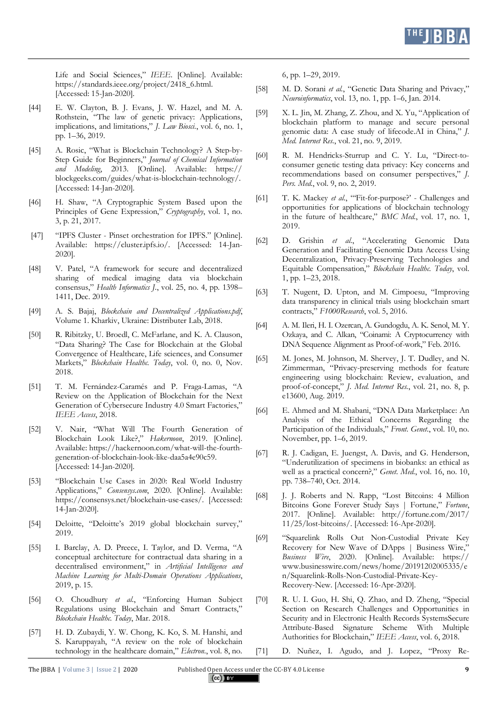

Life and Social Sciences," *IEEE*. [Online]. Available: https://standards.ieee.org/project/2418\_6.html. [Accessed: 15-Jan-2020].

- [44] E. W. Clayton, B. J. Evans, J. W. Hazel, and M. A. Rothstein, "The law of genetic privacy: Applications, implications, and limitations," *J. Law Biosci.*, vol. 6, no. 1, pp. 1–36, 2019.
- [45] A. Rosic, "What is Blockchain Technology? A Step-by-Step Guide for Beginners," *Journal of Chemical Information and Modeling*, 2013. [Online]. Available: https:// blockgeeks.com/guides/what-is-blockchain-technology/. [Accessed: 14-Jan-2020].
- [46] H. Shaw, "A Cryptographic System Based upon the Principles of Gene Expression," *Cryptography*, vol. 1, no. 3, p. 21, 2017.
- [47] "IPFS Cluster Pinset orchestration for IPFS." [Online]. Available: https://cluster.ipfs.io/. [Accessed: 14-Jan-2020].
- [48] V. Patel, "A framework for secure and decentralized sharing of medical imaging data via blockchain consensus," *Health Informatics J.*, vol. 25, no. 4, pp. 1398– 1411, Dec. 2019.
- [49] A. S. Bajaj, *Blockchain and Decentralized Applications.pdf*, Volume 1. Kharkiv, Ukraine: Distributer Lab, 2018.
- [50] R. Ribitzky, U. Broedl, C. McFarlane, and K. A. Clauson, "Data Sharing? The Case for Blockchain at the Global Convergence of Healthcare, Life sciences, and Consumer Markets," *Blockchain Healthc. Today*, vol. 0, no. 0, Nov. 2018.
- [51] T. M. Fernández-Caramés and P. Fraga-Lamas, "A Review on the Application of Blockchain for the Next Generation of Cybersecure Industry 4.0 Smart Factories," *IEEE Access*, 2018.
- [52] V. Nair, "What Will The Fourth Generation of Blockchain Look Like?," *Hakernoon*, 2019. [Online]. Available: https://hackernoon.com/what-will-the-fourthgeneration-of-blockchain-look-like-daa5a4e90c59. [Accessed: 14-Jan-2020].
- [53] "Blockchain Use Cases in 2020: Real World Industry Applications," *Consensys.com*, 2020. [Online]. Available: https://consensys.net/blockchain-use-cases/. [Accessed: 14-Jan-2020].
- [54] Deloitte, "Deloitte's 2019 global blockchain survey," 2019.
- [55] I. Barclay, A. D. Preece, I. Taylor, and D. Verma, "A conceptual architecture for contractual data sharing in a decentralised environment," in *Artificial Intelligence and Machine Learning for Multi-Domain Operations Applications*, 2019, p. 15.
- [56] O. Choudhury *et al.*, "Enforcing Human Subject Regulations using Blockchain and Smart Contracts," *Blockchain Healthc. Today*, Mar. 2018.
- [57] H. D. Zubaydi, Y. W. Chong, K. Ko, S. M. Hanshi, and S. Karuppayah, "A review on the role of blockchain technology in the healthcare domain," *Electron.*, vol. 8, no.

6, pp. 1–29, 2019.

- [58] M. D. Sorani *et al.*, "Genetic Data Sharing and Privacy," *Neuroinformatics*, vol. 13, no. 1, pp. 1–6, Jan. 2014.
- [59] X. L. Jin, M. Zhang, Z. Zhou, and X. Yu, "Application of blockchain platform to manage and secure personal genomic data: A case study of lifecode.AI in China," *J. Med. Internet Res.*, vol. 21, no. 9, 2019.
- [60] R. M. Hendricks-Sturrup and C. Y. Lu, "Direct-toconsumer genetic testing data privacy: Key concerns and recommendations based on consumer perspectives," *J. Pers. Med.*, vol. 9, no. 2, 2019.
- [61] T. K. Mackey *et al.*, "'Fit-for-purpose?' Challenges and opportunities for applications of blockchain technology in the future of healthcare," *BMC Med.*, vol. 17, no. 1, 2019.
- [62] D. Grishin *et al.*, "Accelerating Genomic Data Generation and Facilitating Genomic Data Access Using Decentralization, Privacy-Preserving Technologies and Equitable Compensation," *Blockchain Healthc. Today*, vol. 1, pp. 1–23, 2018.
- [63] T. Nugent, D. Upton, and M. Cimpoesu, "Improving data transparency in clinical trials using blockchain smart contracts," *F1000Research*, vol. 5, 2016.
- [64] A. M. Ileri, H. I. Ozercan, A. Gundogdu, A. K. Senol, M. Y. Ozkaya, and C. Alkan, "Coinami: A Cryptocurrency with DNA Sequence Alignment as Proof-of-work," Feb. 2016.
- [65] M. Jones, M. Johnson, M. Shervey, J. T. Dudley, and N. Zimmerman, "Privacy-preserving methods for feature engineering using blockchain: Review, evaluation, and proof-of-concept," *J. Med. Internet Res.*, vol. 21, no. 8, p. e13600, Aug. 2019.
- [66] E. Ahmed and M. Shabani, "DNA Data Marketplace: An Analysis of the Ethical Concerns Regarding the Participation of the Individuals," *Front. Genet.*, vol. 10, no. November, pp. 1–6, 2019.
- [67] R. J. Cadigan, E. Juengst, A. Davis, and G. Henderson, "Underutilization of specimens in biobanks: an ethical as well as a practical concern?," *Genet. Med.*, vol. 16, no. 10, pp. 738–740, Oct. 2014.
- [68] J. J. Roberts and N. Rapp, "Lost Bitcoins: 4 Million Bitcoins Gone Forever Study Says | Fortune," *Fortune*, 2017. [Online]. Available: http://fortune.com/2017/ 11/25/lost-bitcoins/. [Accessed: 16-Apr-2020].
- [69] "Squarelink Rolls Out Non-Custodial Private Key Recovery for New Wave of DApps | Business Wire," *Business Wire*, 2020. [Online]. Available: https:// www.businesswire.com/news/home/20191202005335/e n/Squarelink-Rolls-Non-Custodial-Private-Key-Recovery-New. [Accessed: 16-Apr-2020].
- [70] R. U. I. Guo, H. Shi, Q. Zhao, and D. Zheng, "Special Section on Research Challenges and Opportunities in Security and in Electronic Health Records SystemsSecure Attribute-Based Signature Scheme With Multiple Authorities for Blockchain," *IEEE Access*, vol. 6, 2018.

[71] D. Nuñez, I. Agudo, and J. Lopez, "Proxy Re-

The [BBA | Volume 3 | Issue 2 | 2020 Published Open Access under the CC-BY 4.0 License